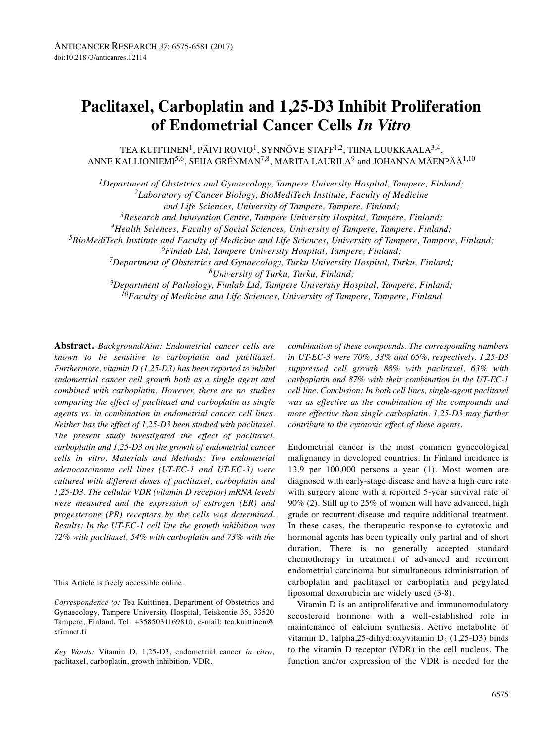# **Paclitaxel, Carboplatin and 1,25-D3 Inhibit Proliferation of Endometrial Cancer Cells** *In Vitro*

TEA KUITTINEN<sup>1</sup>, PÄIVI ROVIO<sup>1</sup>, SYNNÖVE STAFF<sup>1,2</sup>, TIINA LUUKKAALA<sup>3,4</sup>, ANNE KALLIONIEMI<sup>5,6</sup>, SEIJA GRÉNMAN<sup>7,8</sup>, MARITA LAURILA<sup>9</sup> and JOHANNA MÄENPÄÄ<sup>1,10</sup>

*1Department of Obstetrics and Gynaecology, Tampere University Hospital, Tampere, Finland;*

*2Laboratory of Cancer Biology, BioMediTech Institute, Faculty of Medicine*

*and Life Sciences, University of Tampere, Tampere, Finland;*

*3Research and Innovation Centre, Tampere University Hospital, Tampere, Finland;*

*4Health Sciences, Faculty of Social Sciences, University of Tampere, Tampere, Finland;*

*5BioMediTech Institute and Faculty of Medicine and Life Sciences, University of Tampere, Tampere, Finland;*

*6Fimlab Ltd, Tampere University Hospital, Tampere, Finland;*

*7Department of Obstetrics and Gynaecology, Turku University Hospital, Turku, Finland;*

*8University of Turku, Turku, Finland;*

*9Department of Pathology, Fimlab Ltd, Tampere University Hospital, Tampere, Finland; 10Faculty of Medicine and Life Sciences, University of Tampere, Tampere, Finland*

**Abstract.** *Background/Aim: Endometrial cancer cells are known to be sensitive to carboplatin and paclitaxel. Furthermore, vitamin D (1,25-D3) has been reported to inhibit endometrial cancer cell growth both as a single agent and combined with carboplatin. However, there are no studies comparing the effect of paclitaxel and carboplatin as single agents vs. in combination in endometrial cancer cell lines. Neither has the effect of 1,25-D3 been studied with paclitaxel. The present study investigated the effect of paclitaxel, carboplatin and 1,25-D3 on the growth of endometrial cancer cells in vitro. Materials and Methods: Two endometrial adenocarcinoma cell lines (UT-EC-1 and UT-EC-3) were cultured with different doses of paclitaxel, carboplatin and 1,25-D3. The cellular VDR (vitamin D receptor) mRNA levels were measured and the expression of estrogen (ER) and progesterone (PR) receptors by the cells was determined. Results: In the UT-EC-1 cell line the growth inhibition was 72% with paclitaxel, 54% with carboplatin and 73% with the*

This Αrticle is freely accessible online.

*Correspondence to:* Tea Kuittinen, Department of Obstetrics and Gynaecology, Tampere University Hospital, Teiskontie 35, 33520 Tampere, Finland. Tel: +3585031169810, e-mail: tea.kuittinen@ xfimnet.fi

*Key Words:* Vitamin D, 1,25-D3, endometrial cancer *in vitro*, paclitaxel, carboplatin, growth inhibition, VDR.

*combination of these compounds. The corresponding numbers in UT-EC-3 were 70%, 33% and 65%, respectively. 1,25-D3 suppressed cell growth 88% with paclitaxel, 63% with carboplatin and 87% with their combination in the UT-EC-1 cell line. Conclusion: In both cell lines, single-agent paclitaxel was as effective as the combination of the compounds and more effective than single carboplatin. 1,25-D3 may further contribute to the cytotoxic effect of these agents.*

Endometrial cancer is the most common gynecological malignancy in developed countries. In Finland incidence is 13.9 per 100,000 persons a year (1). Most women are diagnosed with early-stage disease and have a high cure rate with surgery alone with a reported 5-year survival rate of 90% (2). Still up to 25% of women will have advanced, high grade or recurrent disease and require additional treatment. In these cases, the therapeutic response to cytotoxic and hormonal agents has been typically only partial and of short duration. There is no generally accepted standard chemotherapy in treatment of advanced and recurrent endometrial carcinoma but simultaneous administration of carboplatin and paclitaxel or carboplatin and pegylated liposomal doxorubicin are widely used (3-8).

Vitamin D is an antiproliferative and immunomodulatory secosteroid hormone with a well-established role in maintenance of calcium synthesis. Active metabolite of vitamin D, 1alpha,25-dihydroxyvitamin D<sub>3</sub> (1,25-D3) binds to the vitamin D receptor (VDR) in the cell nucleus. The function and/or expression of the VDR is needed for the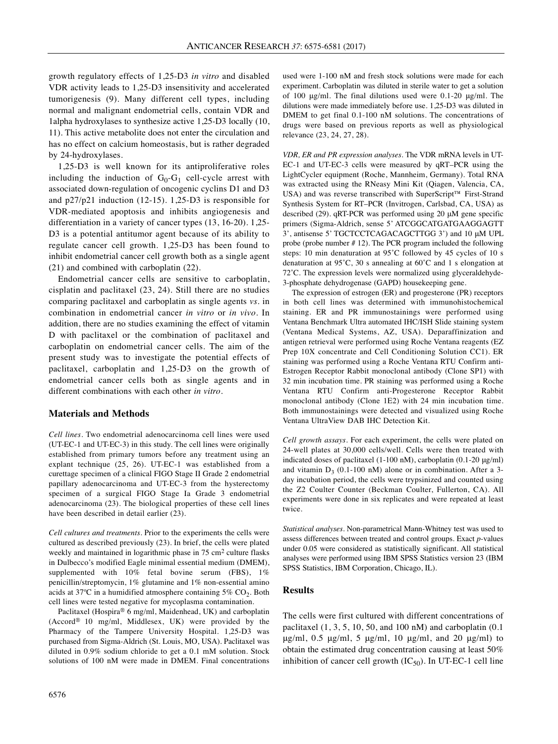growth regulatory effects of 1,25-D3 *in vitro* and disabled VDR activity leads to 1,25-D3 insensitivity and accelerated tumorigenesis (9). Many different cell types, including normal and malignant endometrial cells, contain VDR and 1alpha hydroxylases to synthesize active 1,25-D3 locally (10, 11). This active metabolite does not enter the circulation and has no effect on calcium homeostasis, but is rather degraded by 24-hydroxylases.

1,25-D3 is well known for its antiproliferative roles including the induction of  $G_0-G_1$  cell-cycle arrest with associated down-regulation of oncogenic cyclins D1 and D3 and p27/p21 induction (12-15). 1,25-D3 is responsible for VDR-mediated apoptosis and inhibits angiogenesis and differentiation in a variety of cancer types (13, 16-20). 1,25- D3 is a potential antitumor agent because of its ability to regulate cancer cell growth. 1,25-D3 has been found to inhibit endometrial cancer cell growth both as a single agent (21) and combined with carboplatin (22).

Endometrial cancer cells are sensitive to carboplatin, cisplatin and paclitaxel (23, 24). Still there are no studies comparing paclitaxel and carboplatin as single agents *vs.* in combination in endometrial cancer *in vitro* or *in vivo*. In addition, there are no studies examining the effect of vitamin D with paclitaxel or the combination of paclitaxel and carboplatin on endometrial cancer cells. The aim of the present study was to investigate the potential effects of paclitaxel, carboplatin and 1,25-D3 on the growth of endometrial cancer cells both as single agents and in different combinations with each other *in vitro*.

### **Materials and Methods**

*Cell lines.* Two endometrial adenocarcinoma cell lines were used (UT-EC-1 and UT-EC-3) in this study. The cell lines were originally established from primary tumors before any treatment using an explant technique (25, 26). UT-EC-1 was established from a curettage specimen of a clinical FIGO Stage II Grade 2 endometrial papillary adenocarcinoma and UT-EC-3 from the hysterectomy specimen of a surgical FIGO Stage Ia Grade 3 endometrial adenocarcinoma (23). The biological properties of these cell lines have been described in detail earlier (23).

*Cell cultures and treatments.* Prior to the experiments the cells were cultured as described previously (23). In brief, the cells were plated weekly and maintained in logarithmic phase in 75 cm<sup>2</sup> culture flasks in Dulbecco's modified Eagle minimal essential medium (DMEM), supplemented with  $10\%$  fetal bovine serum (FBS),  $1\%$ penicillin/streptomycin, 1% glutamine and 1% non-essential amino acids at 37 $^{\circ}$ C in a humidified atmosphere containing 5% CO<sub>2</sub>. Both cell lines were tested negative for mycoplasma contamination.

Paclitaxel (Hospira® 6 mg/ml, Maidenhead, UK) and carboplatin (Accord® 10 mg/ml, Middlesex, UK) were provided by the Pharmacy of the Tampere University Hospital. 1,25-D3 was purchased from Sigma-Aldrich (St. Louis, MO, USA). Paclitaxel was diluted in 0.9% sodium chloride to get a 0.1 mM solution. Stock solutions of 100 nM were made in DMEM. Final concentrations *VDR, ER and PR expression analyses.* The VDR mRNA levels in UT-EC-1 and UT-EC-3 cells were measured by qRT–PCR using the LightCycler equipment (Roche, Mannheim, Germany). Total RNA was extracted using the RNeasy Mini Kit (Qiagen, Valencia, CA, USA) and was reverse transcribed with SuperScript<sup>™</sup> First-Strand Synthesis System for RT–PCR (Invitrogen, Carlsbad, CA, USA) as described (29). qRT-PCR was performed using 20 μM gene specific primers (Sigma-Aldrich, sense 5' ATCGGCATGATGAAGGAGTT 3', antisense 5' TGCTCCTCAGACAGCTTGG 3') and 10 μM UPL probe (probe number # 12). The PCR program included the following steps: 10 min denaturation at 95˚C followed by 45 cycles of 10 s denaturation at 95˚C, 30 s annealing at 60˚C and 1 s elongation at 72˚C. The expression levels were normalized using glyceraldehyde-3-phosphate dehydrogenase (GAPD) housekeeping gene.

The expression of estrogen (ER) and progesterone (PR) receptors in both cell lines was determined with immunohistochemical staining. ER and PR immunostainings were performed using Ventana Benchmark Ultra automated IHC/ISH Slide staining system (Ventana Medical Systems, AZ, USA). Deparaffinization and antigen retrieval were performed using Roche Ventana reagents (EZ Prep 10X concentrate and Cell Conditioning Solution CC1). ER staining was performed using a Roche Ventana RTU Confirm anti-Estrogen Receptor Rabbit monoclonal antibody (Clone SP1) with 32 min incubation time. PR staining was performed using a Roche Ventana RTU Confirm anti-Progesterone Receptor Rabbit monoclonal antibody (Clone 1E2) with 24 min incubation time. Both immunostainings were detected and visualized using Roche Ventana UltraView DAB IHC Detection Kit.

*Cell growth assays.* For each experiment, the cells were plated on 24-well plates at 30,000 cells/well. Cells were then treated with indicated doses of paclitaxel (1-100 nM), carboplatin (0.1-20 μg/ml) and vitamin  $D_3$  (0.1-100 nM) alone or in combination. After a 3day incubation period, the cells were trypsinized and counted using the Z2 Coulter Counter (Beckman Coulter, Fullerton, CA). All experiments were done in six replicates and were repeated at least twice.

*Statistical analyses.* Non-parametrical Mann-Whitney test was used to assess differences between treated and control groups. Exact *p-*values under 0.05 were considered as statistically significant. All statistical analyses were performed using IBM SPSS Statistics version 23 (IBM SPSS Statistics, IBM Corporation, Chicago, IL).

## **Results**

The cells were first cultured with different concentrations of paclitaxel  $(1, 3, 5, 10, 50, \text{ and } 100 \text{ nM})$  and carboplatin  $(0.1)$ μg/ml, 0.5 μg/ml, 5 μg/ml, 10 μg/ml, and 20 μg/ml) to obtain the estimated drug concentration causing at least 50% inhibition of cancer cell growth  $(IC_{50})$ . In UT-EC-1 cell line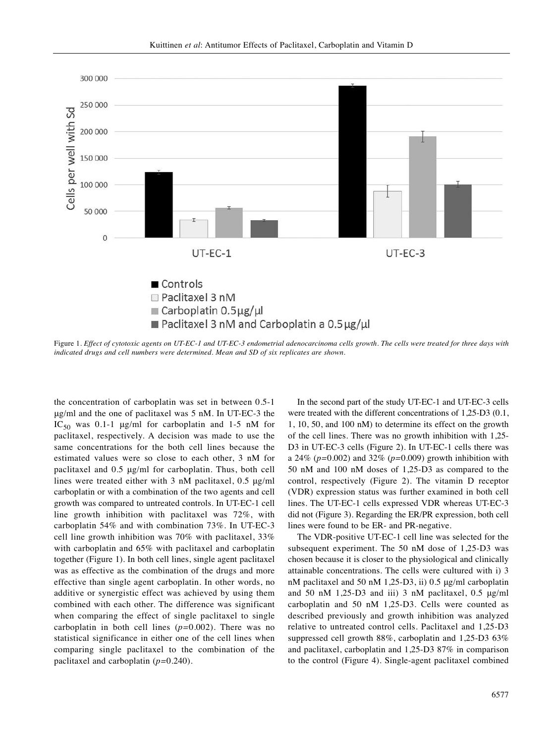

Figure 1. Effect of cytotoxic agents on UT-EC-1 and UT-EC-3 endometrial adenocarcinoma cells growth. The cells were treated for three days with *indicated drugs and cell numbers were determined. Mean and SD of six replicates are shown.*

the concentration of carboplatin was set in between 0.5-1 μg/ml and the one of paclitaxel was 5 nM. In UT-EC-3 the IC<sub>50</sub> was 0.1-1  $\mu$ g/ml for carboplatin and 1-5 nM for paclitaxel, respectively. A decision was made to use the same concentrations for the both cell lines because the estimated values were so close to each other, 3 nM for paclitaxel and 0.5 μg/ml for carboplatin. Thus, both cell lines were treated either with 3 nM paclitaxel, 0.5 μg/ml carboplatin or with a combination of the two agents and cell growth was compared to untreated controls. In UT-EC-1 cell line growth inhibition with paclitaxel was 72%, with carboplatin 54% and with combination 73%. In UT-EC-3 cell line growth inhibition was 70% with paclitaxel, 33% with carboplatin and 65% with paclitaxel and carboplatin together (Figure 1). In both cell lines, single agent paclitaxel was as effective as the combination of the drugs and more effective than single agent carboplatin. In other words, no additive or synergistic effect was achieved by using them combined with each other. The difference was significant when comparing the effect of single paclitaxel to single carboplatin in both cell lines (*p=*0.002). There was no statistical significance in either one of the cell lines when comparing single paclitaxel to the combination of the paclitaxel and carboplatin (*p=*0.240).

In the second part of the study UT-EC-1 and UT-EC-3 cells were treated with the different concentrations of 1,25-D3 (0.1, 1, 10, 50, and 100 nM) to determine its effect on the growth of the cell lines. There was no growth inhibition with 1,25- D3 in UT-EC-3 cells (Figure 2). In UT-EC-1 cells there was a 24% (*p=*0.002) and 32% (*p=*0.009) growth inhibition with 50 nM and 100 nM doses of 1,25-D3 as compared to the control, respectively (Figure 2). The vitamin D receptor (VDR) expression status was further examined in both cell lines. The UT-EC-1 cells expressed VDR whereas UT-EC-3 did not (Figure 3). Regarding the ER/PR expression, both cell lines were found to be ER- and PR-negative.

The VDR-positive UT-EC-1 cell line was selected for the subsequent experiment. The 50 nM dose of 1,25-D3 was chosen because it is closer to the physiological and clinically attainable concentrations. The cells were cultured with i) 3 nM paclitaxel and 50 nM 1,25-D3, ii) 0.5 μg/ml carboplatin and 50 nM 1,25-D3 and iii) 3 nM paclitaxel,  $0.5 \mu g/ml$ carboplatin and 50 nM 1,25-D3. Cells were counted as described previously and growth inhibition was analyzed relative to untreated control cells. Paclitaxel and 1,25-D3 suppressed cell growth 88%, carboplatin and 1,25-D3 63% and paclitaxel, carboplatin and 1,25-D3 87% in comparison to the control (Figure 4). Single-agent paclitaxel combined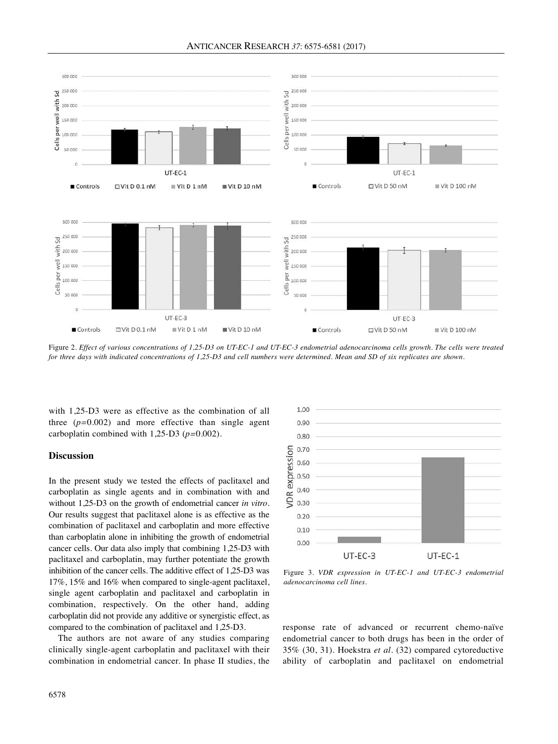

Figure 2. Effect of various concentrations of 1,25-D3 on UT-EC-1 and UT-EC-3 endometrial adenocarcinoma cells growth. The cells were treated for three days with indicated concentrations of 1,25-D3 and cell numbers were determined. Mean and SD of six replicates are shown.

with 1,25-D3 were as effective as the combination of all three (*p=*0.002) and more effective than single agent carboplatin combined with 1,25-D3 (*p=*0.002).

### **Discussion**

In the present study we tested the effects of paclitaxel and carboplatin as single agents and in combination with and without 1,25-D3 on the growth of endometrial cancer *in vitro*. Our results suggest that paclitaxel alone is as effective as the combination of paclitaxel and carboplatin and more effective than carboplatin alone in inhibiting the growth of endometrial cancer cells. Our data also imply that combining 1,25-D3 with paclitaxel and carboplatin, may further potentiate the growth inhibition of the cancer cells. The additive effect of 1,25-D3 was 17%, 15% and 16% when compared to single-agent paclitaxel, single agent carboplatin and paclitaxel and carboplatin in combination, respectively. On the other hand, adding carboplatin did not provide any additive or synergistic effect, as compared to the combination of paclitaxel and 1,25-D3.

The authors are not aware of any studies comparing clinically single-agent carboplatin and paclitaxel with their combination in endometrial cancer. In phase II studies, the



Figure 3. *VDR expression in UT-EC-1 and UT-EC-3 endometrial adenocarcinoma cell lines.*

response rate of advanced or recurrent chemo-naïve endometrial cancer to both drugs has been in the order of 35% (30, 31). Hoekstra *et al.* (32) compared cytoreductive ability of carboplatin and paclitaxel on endometrial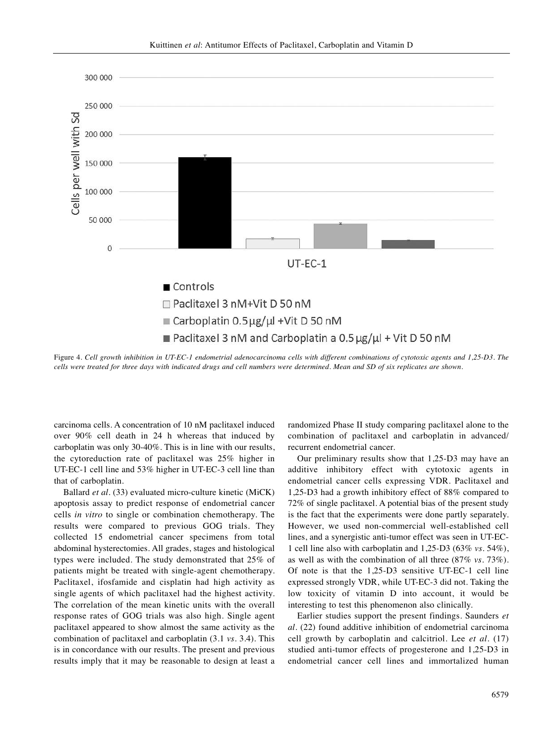

Figure 4. Cell growth inhibition in UT-EC-1 endometrial adenocarcinoma cells with different combinations of cytotoxic agents and 1.25-D3. The cells were treated for three days with indicated drugs and cell numbers were determined. Mean and SD of six replicates are shown.

carcinoma cells. A concentration of 10 nM paclitaxel induced over 90% cell death in 24 h whereas that induced by carboplatin was only 30-40%. This is in line with our results, the cytoreduction rate of paclitaxel was 25% higher in UT-EC-1 cell line and 53% higher in UT-EC-3 cell line than that of carboplatin.

Ballard *et al.* (33) evaluated micro-culture kinetic (MiCK) apoptosis assay to predict response of endometrial cancer cells *in vitro* to single or combination chemotherapy. The results were compared to previous GOG trials. They collected 15 endometrial cancer specimens from total abdominal hysterectomies. All grades, stages and histological types were included. The study demonstrated that 25% of patients might be treated with single-agent chemotherapy. Paclitaxel, ifosfamide and cisplatin had high activity as single agents of which paclitaxel had the highest activity. The correlation of the mean kinetic units with the overall response rates of GOG trials was also high. Single agent paclitaxel appeared to show almost the same activity as the combination of paclitaxel and carboplatin (3.1 *vs.* 3.4). This is in concordance with our results. The present and previous results imply that it may be reasonable to design at least a randomized Phase II study comparing paclitaxel alone to the combination of paclitaxel and carboplatin in advanced/ recurrent endometrial cancer.

Our preliminary results show that 1,25-D3 may have an additive inhibitory effect with cytotoxic agents in endometrial cancer cells expressing VDR. Paclitaxel and 1,25-D3 had a growth inhibitory effect of 88% compared to 72% of single paclitaxel. A potential bias of the present study is the fact that the experiments were done partly separately. However, we used non-commercial well-established cell lines, and a synergistic anti-tumor effect was seen in UT-EC-1 cell line also with carboplatin and 1,25-D3 (63% *vs.* 54%), as well as with the combination of all three (87% *vs.* 73%). Of note is that the 1,25-D3 sensitive UT-EC-1 cell line expressed strongly VDR, while UT-EC-3 did not. Taking the low toxicity of vitamin D into account, it would be interesting to test this phenomenon also clinically.

Earlier studies support the present findings. Saunders *et al.* (22) found additive inhibition of endometrial carcinoma cell growth by carboplatin and calcitriol. Lee *et al.* (17) studied anti-tumor effects of progesterone and 1,25-D3 in endometrial cancer cell lines and immortalized human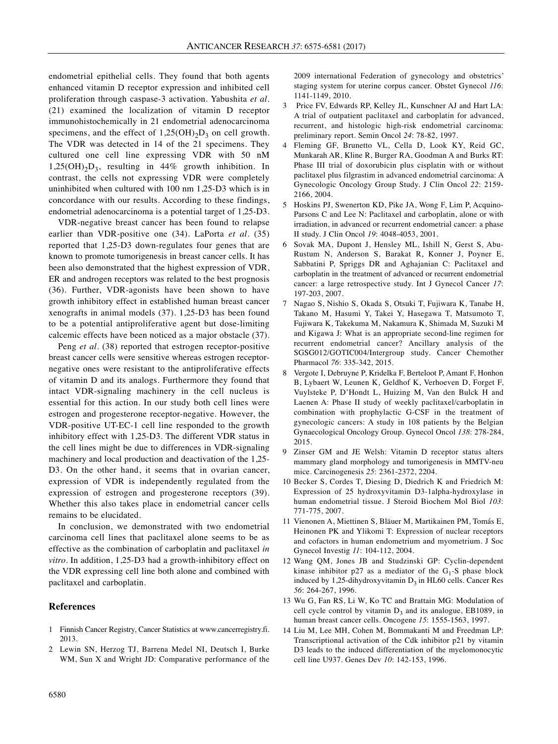endometrial epithelial cells. They found that both agents enhanced vitamin D receptor expression and inhibited cell proliferation through caspase-3 activation. Yabushita *et al.* (21) examined the localization of vitamin D receptor immunohistochemically in 21 endometrial adenocarcinoma specimens, and the effect of  $1,25(OH)_{2}D_{3}$  on cell growth. The VDR was detected in 14 of the 21 specimens. They cultured one cell line expressing VDR with 50 nM  $1,25(OH)_{2}D_{3}$ , resulting in 44% growth inhibition. In contrast, the cells not expressing VDR were completely uninhibited when cultured with 100 nm 1,25-D3 which is in concordance with our results. According to these findings, endometrial adenocarcinoma is a potential target of 1,25-D3.

VDR-negative breast cancer has been found to relapse earlier than VDR-positive one (34). LaPorta *et al.* (35) reported that 1,25-D3 down-regulates four genes that are known to promote tumorigenesis in breast cancer cells. It has been also demonstrated that the highest expression of VDR, ER and androgen receptors was related to the best prognosis (36). Further, VDR-agonists have been shown to have growth inhibitory effect in established human breast cancer xenografts in animal models (37). 1,25-D3 has been found to be a potential antiproliferative agent but dose-limiting calcemic effects have been noticed as a major obstacle (37).

Peng *et al.* (38) reported that estrogen receptor-positive breast cancer cells were sensitive whereas estrogen receptornegative ones were resistant to the antiproliferative effects of vitamin D and its analogs. Furthermore they found that intact VDR-signaling machinery in the cell nucleus is essential for this action. In our study both cell lines were estrogen and progesterone receptor-negative. However, the VDR-positive UT-EC-1 cell line responded to the growth inhibitory effect with 1,25-D3. The different VDR status in the cell lines might be due to differences in VDR-signaling machinery and local production and deactivation of the 1,25- D3. On the other hand, it seems that in ovarian cancer, expression of VDR is independently regulated from the expression of estrogen and progesterone receptors (39). Whether this also takes place in endometrial cancer cells remains to be elucidated.

In conclusion, we demonstrated with two endometrial carcinoma cell lines that paclitaxel alone seems to be as effective as the combination of carboplatin and paclitaxel *in vitro*. In addition, 1,25-D3 had a growth-inhibitory effect on the VDR expressing cell line both alone and combined with paclitaxel and carboplatin.

## **References**

- 1 Finnish Cancer Registry, Cancer Statistics at www.cancerregistry.fi. 2013.
- 2 Lewin SN, Herzog TJ, Barrena Medel NI, Deutsch I, Burke WM, Sun X and Wright JD: Comparative performance of the

2009 international Federation of gynecology and obstetrics' staging system for uterine corpus cancer. Obstet Gynecol *116*: 1141-1149, 2010.

- 3 Price FV, Edwards RP, Kelley JL, Kunschner AJ and Hart LA: A trial of outpatient paclitaxel and carboplatin for advanced, recurrent, and histologic high-risk endometrial carcinoma: preliminary report. Semin Oncol *24*: 78-82, 1997.
- 4 Fleming GF, Brunetto VL, Cella D, Look KY, Reid GC, Munkarah AR, Kline R, Burger RA, Goodman A and Burks RT: Phase III trial of doxorubicin plus cisplatin with or without paclitaxel plus filgrastim in advanced endometrial carcinoma: A Gynecologic Oncology Group Study. J Clin Oncol *22*: 2159- 2166, 2004.
- 5 Hoskins PJ, Swenerton KD, Pike JA, Wong F, Lim P, Acquino-Parsons C and Lee N: Paclitaxel and carboplatin, alone or with irradiation, in advanced or recurrent endometrial cancer: a phase II study. J Clin Oncol *19*: 4048-4053, 2001.
- 6 Sovak MA, Dupont J, Hensley ML, Ishill N, Gerst S, Abu-Rustum N, Anderson S, Barakat R, Konner J, Poyner E, Sabbatini P, Spriggs DR and Aghajanian C: Paclitaxel and carboplatin in the treatment of advanced or recurrent endometrial cancer: a large retrospective study. Int J Gynecol Cancer *17*: 197-203, 2007.
- 7 Nagao S, Nishio S, Okada S, Otsuki T, Fujiwara K, Tanabe H, Takano M, Hasumi Y, Takei Y, Hasegawa T, Matsumoto T, Fujiwara K, Takekuma M, Nakamura K, Shimada M, Suzuki M and Kigawa J: What is an appropriate second-line regimen for recurrent endometrial cancer? Ancillary analysis of the SGSG012/GOTIC004/Intergroup study. Cancer Chemother Pharmacol *76*: 335-342, 2015.
- 8 Vergote I, Debruyne P, Kridelka F, Berteloot P, Amant F, Honhon B, Lybaert W, Leunen K, Geldhof K, Verhoeven D, Forget F, Vuylsteke P, D'Hondt L, Huizing M, Van den Bulck H and Laenen A: Phase II study of weekly paclitaxel/carboplatin in combination with prophylactic G-CSF in the treatment of gynecologic cancers: A study in 108 patients by the Belgian Gynaecological Oncology Group. Gynecol Oncol *138*: 278-284, 2015.
- 9 Zinser GM and JE Welsh: Vitamin D receptor status alters mammary gland morphology and tumorigenesis in MMTV-neu mice. Carcinogenesis *25*: 2361-2372, 2204.
- 10 Becker S, Cordes T, Diesing D, Diedrich K and Friedrich M: Expression of 25 hydroxyvitamin D3-1alpha-hydroxylase in human endometrial tissue. J Steroid Biochem Mol Biol *103*: 771-775, 2007.
- 11 Vienonen A, Miettinen S, Bläuer M, Martikainen PM, Tomás E, Heinonen PK and Ylikomi T: Expression of nuclear receptors and cofactors in human endometrium and myometrium. J Soc Gynecol Investig *11*: 104-112, 2004.
- 12 Wang QM, Jones JB and Studzinski GP: Cyclin-dependent kinase inhibitor p27 as a mediator of the  $G_1$ -S phase block induced by 1,25-dihydroxyvitamin  $D_3$  in HL60 cells. Cancer Res *56*: 264-267, 1996.
- 13 Wu G, Fan RS, Li W, Ko TC and Brattain MG: Modulation of cell cycle control by vitamin  $D_3$  and its analogue, EB1089, in human breast cancer cells. Oncogene *15*: 1555-1563, 1997.
- 14 Liu M, Lee MH, Cohen M, Bommakanti M and Freedman LP: Transcriptional activation of the Cdk inhibitor p21 by vitamin D3 leads to the induced differentiation of the myelomonocytic cell line U937. Genes Dev *10*: 142-153, 1996.